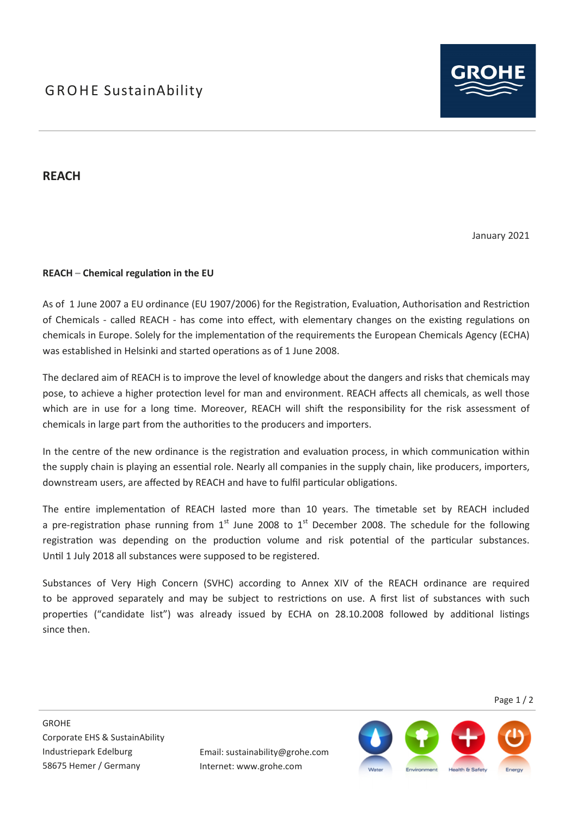

## **REACH**

January 2021

### **REACH – Chemical regulation in the EU**

As of 1 June 2007 a EU ordinance (EU 1907/2006) for the Registration, Evaluation, Authorisation and Restriction of Chemicals - called REACH - has come into effect, with elementary changes on the existing regulations on chemicals in Europe. Solely for the implementation of the requirements the European Chemicals Agency (ECHA) was established in Helsinki and started operations as of 1 June 2008.

The declared aim of REACH is to improve the level of knowledge about the dangers and risks that chemicals may pose, to achieve a higher protection level for man and environment. REACH affects all chemicals, as well those which are in use for a long time. Moreover, REACH will shift the responsibility for the risk assessment of chemicals in large part from the authorities to the producers and importers.

In the centre of the new ordinance is the registration and evaluation process, in which communication within the supply chain is playing an essential role. Nearly all companies in the supply chain, like producers, importers, downstream users, are affected by REACH and have to fulfil particular obligations.

The entire implementation of REACH lasted more than 10 years. The timetable set by REACH included a pre-registration phase running from  $1<sup>st</sup>$  June 2008 to  $1<sup>st</sup>$  December 2008. The schedule for the following registration was depending on the production volume and risk potential of the particular substances. Until 1 July 2018 all substances were supposed to be registered.

Substances of Very High Concern (SVHC) according to Annex XIV of the REACH ordinance are required to be approved separately and may be subject to restrictions on use. A first list of substances with such properties ("candidate list") was already issued by ECHA on 28.10.2008 followed by additional listings since then.

Page 1 / 2

Email: sustainability@grohe.com Internet: www.grohe.com